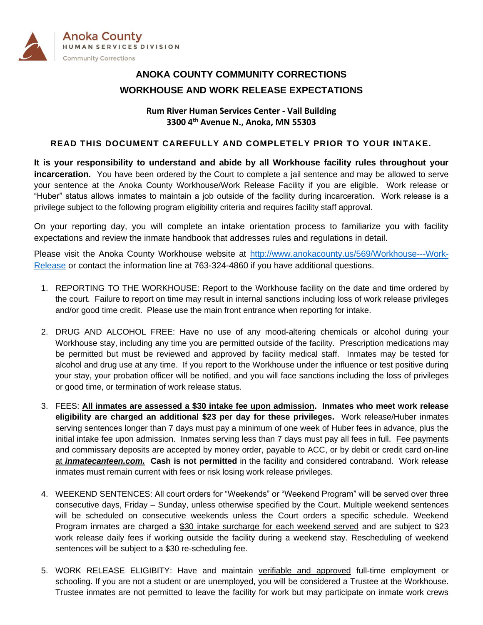

# **ANOKA COUNTY COMMUNITY CORRECTIONS WORKHOUSE AND WORK RELEASE EXPECTATIONS**

### **Rum River Human Services Center - Vail Building 3300 4th Avenue N., Anoka, MN 55303**

### **READ THIS DOCUMENT CAREFULLY AND COMPLETELY PRIOR TO YOUR INTAKE.**

**It is your responsibility to understand and abide by all Workhouse facility rules throughout your incarceration.** You have been ordered by the Court to complete a jail sentence and may be allowed to serve your sentence at the Anoka County Workhouse/Work Release Facility if you are eligible. Work release or "Huber" status allows inmates to maintain a job outside of the facility during incarceration. Work release is a privilege subject to the following program eligibility criteria and requires facility staff approval.

On your reporting day, you will complete an intake orientation process to familiarize you with facility expectations and review the inmate handbook that addresses rules and regulations in detail.

Please visit the Anoka County Workhouse website at [http://www.anokacounty.us/569/Workhouse---Work-](http://www.anokacounty.us/569/Workhouse---Work-Release)[Release](http://www.anokacounty.us/569/Workhouse---Work-Release) or contact the information line at 763-324-4860 if you have additional questions.

- 1. REPORTING TO THE WORKHOUSE: Report to the Workhouse facility on the date and time ordered by the court. Failure to report on time may result in internal sanctions including loss of work release privileges and/or good time credit. Please use the main front entrance when reporting for intake.
- 2. DRUG AND ALCOHOL FREE: Have no use of any mood-altering chemicals or alcohol during your Workhouse stay, including any time you are permitted outside of the facility. Prescription medications may be permitted but must be reviewed and approved by facility medical staff. Inmates may be tested for alcohol and drug use at any time. If you report to the Workhouse under the influence or test positive during your stay, your probation officer will be notified, and you will face sanctions including the loss of privileges or good time, or termination of work release status.
- 3. FEES: **All inmates are assessed a \$30 intake fee upon admission. Inmates who meet work release eligibility are charged an additional \$23 per day for these privileges.** Work release/Huber inmates serving sentences longer than 7 days must pay a minimum of one week of Huber fees in advance, plus the initial intake fee upon admission. Inmates serving less than 7 days must pay all fees in full. Fee payments and commissary deposits are accepted by money order, payable to ACC, or by debit or credit card on-line at *inmatecanteen.com.* **Cash is not permitted** in the facility and considered contraband. Work release inmates must remain current with fees or risk losing work release privileges.
- 4. WEEKEND SENTENCES: All court orders for "Weekends" or "Weekend Program" will be served over three consecutive days, Friday – Sunday, unless otherwise specified by the Court. Multiple weekend sentences will be scheduled on consecutive weekends unless the Court orders a specific schedule. Weekend Program inmates are charged a \$30 intake surcharge for each weekend served and are subject to \$23 work release daily fees if working outside the facility during a weekend stay. Rescheduling of weekend sentences will be subject to a \$30 re-scheduling fee.
- 5. WORK RELEASE ELIGIBITY: Have and maintain verifiable and approved full-time employment or schooling. If you are not a student or are unemployed, you will be considered a Trustee at the Workhouse. Trustee inmates are not permitted to leave the facility for work but may participate on inmate work crews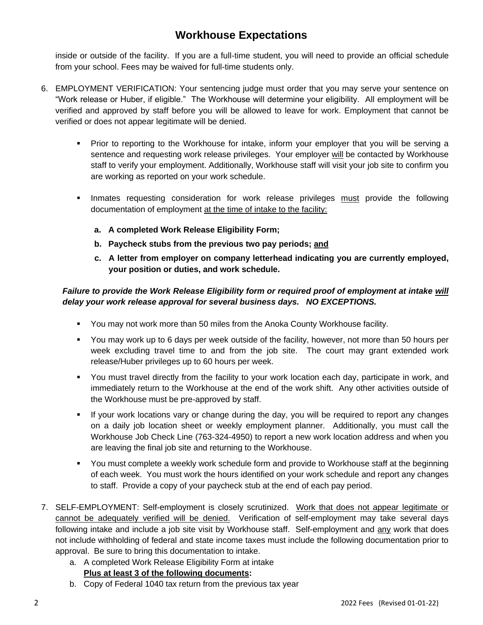## **Workhouse Expectations**

inside or outside of the facility. If you are a full-time student, you will need to provide an official schedule from your school. Fees may be waived for full-time students only.

- 6. EMPLOYMENT VERIFICATION: Your sentencing judge must order that you may serve your sentence on "Work release or Huber, if eligible." The Workhouse will determine your eligibility. All employment will be verified and approved by staff before you will be allowed to leave for work. Employment that cannot be verified or does not appear legitimate will be denied.
	- **•** Prior to reporting to the Workhouse for intake, inform your employer that you will be serving a sentence and requesting work release privileges. Your employer will be contacted by Workhouse staff to verify your employment. Additionally, Workhouse staff will visit your job site to confirm you are working as reported on your work schedule.
	- Inmates requesting consideration for work release privileges must provide the following documentation of employment at the time of intake to the facility:
		- **a. A completed Work Release Eligibility Form;**
		- **b. Paycheck stubs from the previous two pay periods; and**
		- **c. A letter from employer on company letterhead indicating you are currently employed, your position or duties, and work schedule.**

### *Failure to provide the Work Release Eligibility form or required proof of employment at intake will delay your work release approval for several business days. NO EXCEPTIONS.*

- You may not work more than 50 miles from the Anoka County Workhouse facility.
- You may work up to 6 days per week outside of the facility, however, not more than 50 hours per week excluding travel time to and from the job site. The court may grant extended work release/Huber privileges up to 60 hours per week.
- You must travel directly from the facility to your work location each day, participate in work, and immediately return to the Workhouse at the end of the work shift. Any other activities outside of the Workhouse must be pre-approved by staff.
- If your work locations vary or change during the day, you will be required to report any changes on a daily job location sheet or weekly employment planner. Additionally, you must call the Workhouse Job Check Line (763-324-4950) to report a new work location address and when you are leaving the final job site and returning to the Workhouse.
- You must complete a weekly work schedule form and provide to Workhouse staff at the beginning of each week. You must work the hours identified on your work schedule and report any changes to staff. Provide a copy of your paycheck stub at the end of each pay period.
- 7. SELF-EMPLOYMENT: Self-employment is closely scrutinized. Work that does not appear legitimate or cannot be adequately verified will be denied. Verification of self-employment may take several days following intake and include a job site visit by Workhouse staff. Self-employment and any work that does not include withholding of federal and state income taxes must include the following documentation prior to approval. Be sure to bring this documentation to intake.
	- a. A completed Work Release Eligibility Form at intake **Plus at least 3 of the following documents:**
	- b. Copy of Federal 1040 tax return from the previous tax year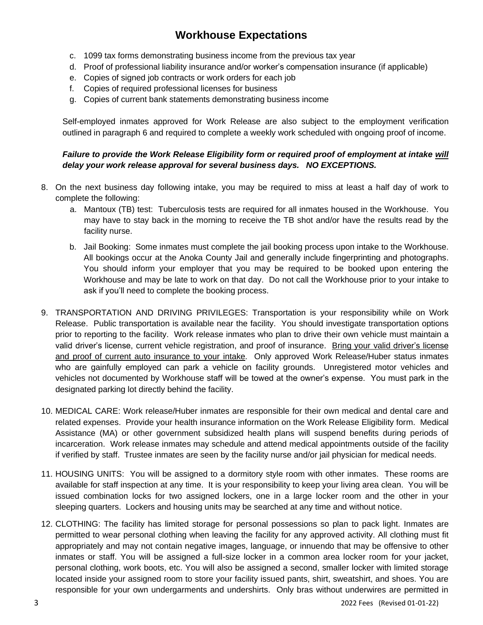# **Workhouse Expectations**

- c. 1099 tax forms demonstrating business income from the previous tax year
- d. Proof of professional liability insurance and/or worker's compensation insurance (if applicable)
- e. Copies of signed job contracts or work orders for each job
- f. Copies of required professional licenses for business
- g. Copies of current bank statements demonstrating business income

Self-employed inmates approved for Work Release are also subject to the employment verification outlined in paragraph 6 and required to complete a weekly work scheduled with ongoing proof of income.

### *Failure to provide the Work Release Eligibility form or required proof of employment at intake will delay your work release approval for several business days. NO EXCEPTIONS.*

- 8. On the next business day following intake, you may be required to miss at least a half day of work to complete the following:
	- a. Mantoux (TB) test: Tuberculosis tests are required for all inmates housed in the Workhouse. You may have to stay back in the morning to receive the TB shot and/or have the results read by the facility nurse.
	- b. Jail Booking: Some inmates must complete the jail booking process upon intake to the Workhouse. All bookings occur at the Anoka County Jail and generally include fingerprinting and photographs. You should inform your employer that you may be required to be booked upon entering the Workhouse and may be late to work on that day. Do not call the Workhouse prior to your intake to ask if you'll need to complete the booking process.
- 9. TRANSPORTATION AND DRIVING PRIVILEGES: Transportation is your responsibility while on Work Release. Public transportation is available near the facility. You should investigate transportation options prior to reporting to the facility. Work release inmates who plan to drive their own vehicle must maintain a valid driver's license, current vehicle registration, and proof of insurance. Bring your valid driver's license and proof of current auto insurance to your intake. Only approved Work Release/Huber status inmates who are gainfully employed can park a vehicle on facility grounds. Unregistered motor vehicles and vehicles not documented by Workhouse staff will be towed at the owner's expense. You must park in the designated parking lot directly behind the facility.
- 10. MEDICAL CARE: Work release/Huber inmates are responsible for their own medical and dental care and related expenses. Provide your health insurance information on the Work Release Eligibility form. Medical Assistance (MA) or other government subsidized health plans will suspend benefits during periods of incarceration. Work release inmates may schedule and attend medical appointments outside of the facility if verified by staff. Trustee inmates are seen by the facility nurse and/or jail physician for medical needs.
- 11. HOUSING UNITS: You will be assigned to a dormitory style room with other inmates. These rooms are available for staff inspection at any time. It is your responsibility to keep your living area clean. You will be issued combination locks for two assigned lockers, one in a large locker room and the other in your sleeping quarters. Lockers and housing units may be searched at any time and without notice.
- 12. CLOTHING: The facility has limited storage for personal possessions so plan to pack light. Inmates are permitted to wear personal clothing when leaving the facility for any approved activity. All clothing must fit appropriately and may not contain negative images, language, or innuendo that may be offensive to other inmates or staff. You will be assigned a full-size locker in a common area locker room for your jacket, personal clothing, work boots, etc. You will also be assigned a second, smaller locker with limited storage located inside your assigned room to store your facility issued pants, shirt, sweatshirt, and shoes. You are responsible for your own undergarments and undershirts. Only bras without underwires are permitted in